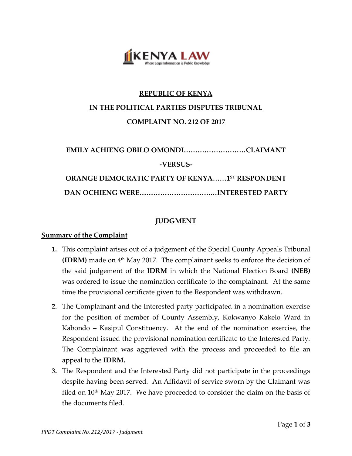

# **REPUBLIC OF KENYA IN THE POLITICAL PARTIES DISPUTES TRIBUNAL COMPLAINT NO. 212 OF 2017**

**EMILY ACHIENG OBILO OMONDI………………………CLAIMANT -VERSUS-ORANGE DEMOCRATIC PARTY OF KENYA……1ST RESPONDENT DAN OCHIENG WERE………………………….…INTERESTED PARTY**

## **JUDGMENT**

## **Summary of the Complaint**

- **1.** This complaint arises out of a judgement of the Special County Appeals Tribunal **(IDRM)** made on 4<sup>th</sup> May 2017. The complainant seeks to enforce the decision of the said judgement of the **IDRM** in which the National Election Board **(NEB)** was ordered to issue the nomination certificate to the complainant. At the same time the provisional certificate given to the Respondent was withdrawn.
- **2.** The Complainant and the Interested party participated in a nomination exercise for the position of member of County Assembly, Kokwanyo Kakelo Ward in Kabondo – Kasipul Constituency. At the end of the nomination exercise, the Respondent issued the provisional nomination certificate to the Interested Party. The Complainant was aggrieved with the process and proceeded to file an appeal to the **IDRM.**
- **3.** The Respondent and the Interested Party did not participate in the proceedings despite having been served. An Affidavit of service sworn by the Claimant was filed on  $10<sup>th</sup>$  May 2017. We have proceeded to consider the claim on the basis of the documents filed.